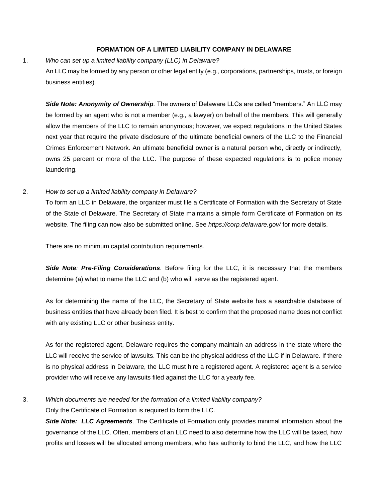## **FORMATION OF A LIMITED LIABILITY COMPANY IN DELAWARE**

#### 1. *Who can set up a limited liability company (LLC) in Delaware?*

An LLC may be formed by any person or other legal entity (e.g., corporations, partnerships, trusts, or foreign business entities).

*Side Note: Anonymity of Ownership.* The owners of Delaware LLCs are called "members." An LLC may be formed by an agent who is not a member (e.g., a lawyer) on behalf of the members. This will generally allow the members of the LLC to remain anonymous; however, we expect regulations in the United States next year that require the private disclosure of the ultimate beneficial owners of the LLC to the Financial Crimes Enforcement Network. An ultimate beneficial owner is a natural person who, directly or indirectly, owns 25 percent or more of the LLC. The purpose of these expected regulations is to police money laundering.

## 2. *How to set up a limited liability company in Delaware?*

To form an LLC in Delaware, the organizer must file a Certificate of Formation with the Secretary of State of the State of Delaware. The Secretary of State maintains a simple form Certificate of Formation on its website. The filing can now also be submitted online. See *https://corp.delaware.gov/* for more details.

There are no minimum capital contribution requirements.

*Side Note: Pre-Filing Considerations*. Before filing for the LLC, it is necessary that the members determine (a) what to name the LLC and (b) who will serve as the registered agent.

As for determining the name of the LLC, the Secretary of State website has a searchable database of business entities that have already been filed. It is best to confirm that the proposed name does not conflict with any existing LLC or other business entity.

As for the registered agent, Delaware requires the company maintain an address in the state where the LLC will receive the service of lawsuits. This can be the physical address of the LLC if in Delaware. If there is no physical address in Delaware, the LLC must hire a registered agent. A registered agent is a service provider who will receive any lawsuits filed against the LLC for a yearly fee.

3. *Which documents are needed for the formation of a limited liability company?*

Only the Certificate of Formation is required to form the LLC.

*Side Note: LLC Agreements*. The Certificate of Formation only provides minimal information about the governance of the LLC. Often, members of an LLC need to also determine how the LLC will be taxed, how profits and losses will be allocated among members, who has authority to bind the LLC, and how the LLC